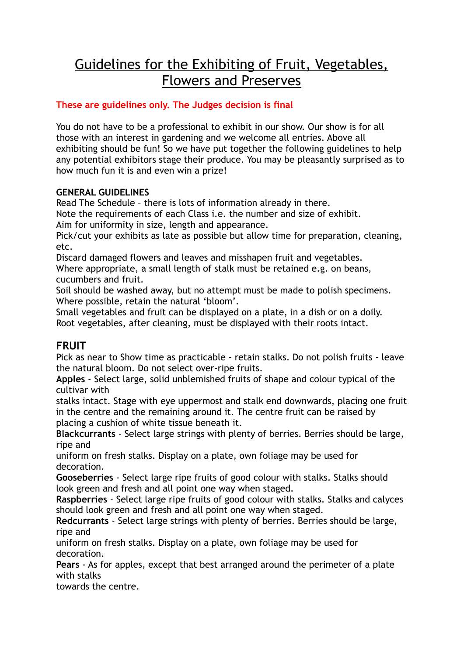# Guidelines for the Exhibiting of Fruit, Vegetables, Flowers and Preserves

## **These are guidelines only. The Judges decision is final**

You do not have to be a professional to exhibit in our show. Our show is for all those with an interest in gardening and we welcome all entries. Above all exhibiting should be fun! So we have put together the following guidelines to help any potential exhibitors stage their produce. You may be pleasantly surprised as to how much fun it is and even win a prize!

#### **GENERAL GUIDELINES**

Read The Schedule – there is lots of information already in there. Note the requirements of each Class i.e. the number and size of exhibit.

Aim for uniformity in size, length and appearance.

Pick/cut your exhibits as late as possible but allow time for preparation, cleaning, etc.

Discard damaged flowers and leaves and misshapen fruit and vegetables. Where appropriate, a small length of stalk must be retained e.g. on beans, cucumbers and fruit.

Soil should be washed away, but no attempt must be made to polish specimens. Where possible, retain the natural 'bloom'.

Small vegetables and fruit can be displayed on a plate, in a dish or on a doily. Root vegetables, after cleaning, must be displayed with their roots intact.

# **FRUIT**

Pick as near to Show time as practicable - retain stalks. Do not polish fruits - leave the natural bloom. Do not select over-ripe fruits.

**Apples** - Select large, solid unblemished fruits of shape and colour typical of the cultivar with

stalks intact. Stage with eye uppermost and stalk end downwards, placing one fruit in the centre and the remaining around it. The centre fruit can be raised by placing a cushion of white tissue beneath it.

**Blackcurrants** - Select large strings with plenty of berries. Berries should be large, ripe and

uniform on fresh stalks. Display on a plate, own foliage may be used for decoration.

**Gooseberries** - Select large ripe fruits of good colour with stalks. Stalks should look green and fresh and all point one way when staged.

**Raspberries** - Select large ripe fruits of good colour with stalks. Stalks and calyces should look green and fresh and all point one way when staged.

**Redcurrants** - Select large strings with plenty of berries. Berries should be large, ripe and

uniform on fresh stalks. Display on a plate, own foliage may be used for decoration.

**Pears** - As for apples, except that best arranged around the perimeter of a plate with stalks

towards the centre.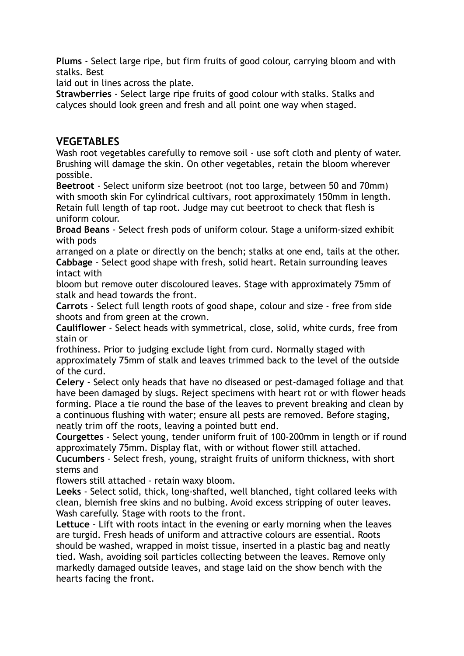**Plums** - Select large ripe, but firm fruits of good colour, carrying bloom and with stalks. Best

laid out in lines across the plate.

**Strawberries** - Select large ripe fruits of good colour with stalks. Stalks and calyces should look green and fresh and all point one way when staged.

## **VEGETABLES**

Wash root vegetables carefully to remove soil - use soft cloth and plenty of water. Brushing will damage the skin. On other vegetables, retain the bloom wherever possible.

**Beetroot** - Select uniform size beetroot (not too large, between 50 and 70mm) with smooth skin For cylindrical cultivars, root approximately 150mm in length. Retain full length of tap root. Judge may cut beetroot to check that flesh is uniform colour.

**Broad Beans** - Select fresh pods of uniform colour. Stage a uniform-sized exhibit with pods

arranged on a plate or directly on the bench; stalks at one end, tails at the other. **Cabbage** - Select good shape with fresh, solid heart. Retain surrounding leaves intact with

bloom but remove outer discoloured leaves. Stage with approximately 75mm of stalk and head towards the front.

**Carrots** - Select full length roots of good shape, colour and size - free from side shoots and from green at the crown.

**Cauliflower** - Select heads with symmetrical, close, solid, white curds, free from stain or

frothiness. Prior to judging exclude light from curd. Normally staged with approximately 75mm of stalk and leaves trimmed back to the level of the outside of the curd.

**Celery** - Select only heads that have no diseased or pest-damaged foliage and that have been damaged by slugs. Reject specimens with heart rot or with flower heads forming. Place a tie round the base of the leaves to prevent breaking and clean by a continuous flushing with water; ensure all pests are removed. Before staging, neatly trim off the roots, leaving a pointed butt end.

**Courgettes** - Select young, tender uniform fruit of 100-200mm in length or if round approximately 75mm. Display flat, with or without flower still attached.

**Cucumbers** - Select fresh, young, straight fruits of uniform thickness, with short stems and

flowers still attached - retain waxy bloom.

**Leeks** - Select solid, thick, long-shafted, well blanched, tight collared leeks with clean, blemish free skins and no bulbing. Avoid excess stripping of outer leaves. Wash carefully. Stage with roots to the front.

**Lettuce** - Lift with roots intact in the evening or early morning when the leaves are turgid. Fresh heads of uniform and attractive colours are essential. Roots should be washed, wrapped in moist tissue, inserted in a plastic bag and neatly tied. Wash, avoiding soil particles collecting between the leaves. Remove only markedly damaged outside leaves, and stage laid on the show bench with the hearts facing the front.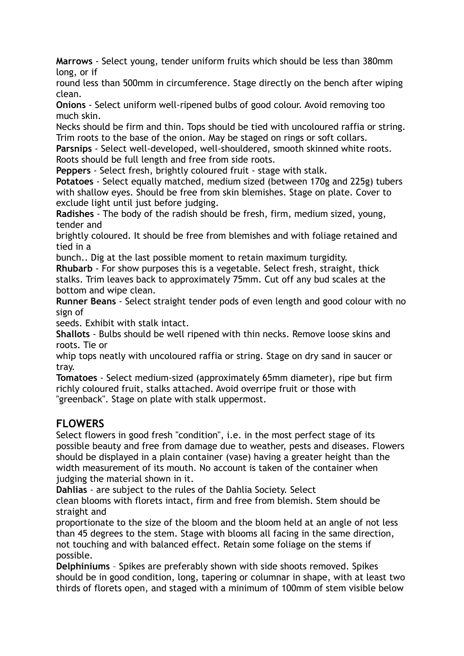**Marrows** - Select young, tender uniform fruits which should be less than 380mm long, or if

round less than 500mm in circumference. Stage directly on the bench after wiping clean.

**Onions** - Select uniform well-ripened bulbs of good colour. Avoid removing too much skin.

Necks should be firm and thin. Tops should be tied with uncoloured raffia or string. Trim roots to the base of the onion. May be staged on rings or soft collars.

**Parsnips** - Select well-developed, well-shouldered, smooth skinned white roots. Roots should be full length and free from side roots.

**Peppers** - Select fresh, brightly coloured fruit - stage with stalk.

**Potatoes** - Select equally matched, medium sized (between 170g and 225g) tubers with shallow eyes. Should be free from skin blemishes. Stage on plate. Cover to exclude light until just before judging.

**Radishes** - The body of the radish should be fresh, firm, medium sized, young, tender and

brightly coloured. It should be free from blemishes and with foliage retained and tied in a

bunch.. Dig at the last possible moment to retain maximum turgidity.

**Rhubarb** - For show purposes this is a vegetable. Select fresh, straight, thick stalks. Trim leaves back to approximately 75mm. Cut off any bud scales at the bottom and wipe clean.

**Runner Beans** - Select straight tender pods of even length and good colour with no sign of

seeds. Exhibit with stalk intact.

**Shallots** - Bulbs should be well ripened with thin necks. Remove loose skins and roots. Tie or

whip tops neatly with uncoloured raffia or string. Stage on dry sand in saucer or tray.

**Tomatoes** - Select medium-sized (approximately 65mm diameter), ripe but firm richly coloured fruit, stalks attached. Avoid overripe fruit or those with "greenback". Stage on plate with stalk uppermost.

# **FLOWERS**

Select flowers in good fresh "condition", i.e. in the most perfect stage of its possible beauty and free from damage due to weather, pests and diseases. Flowers should be displayed in a plain container (vase) having a greater height than the width measurement of its mouth. No account is taken of the container when judging the material shown in it.

**Dahlias** - are subject to the rules of the Dahlia Society. Select

clean blooms with florets intact, firm and free from blemish. Stem should be straight and

proportionate to the size of the bloom and the bloom held at an angle of not less than 45 degrees to the stem. Stage with blooms all facing in the same direction, not touching and with balanced effect. Retain some foliage on the stems if possible.

**Delphiniums** – Spikes are preferably shown with side shoots removed. Spikes should be in good condition, long, tapering or columnar in shape, with at least two thirds of florets open, and staged with a minimum of 100mm of stem visible below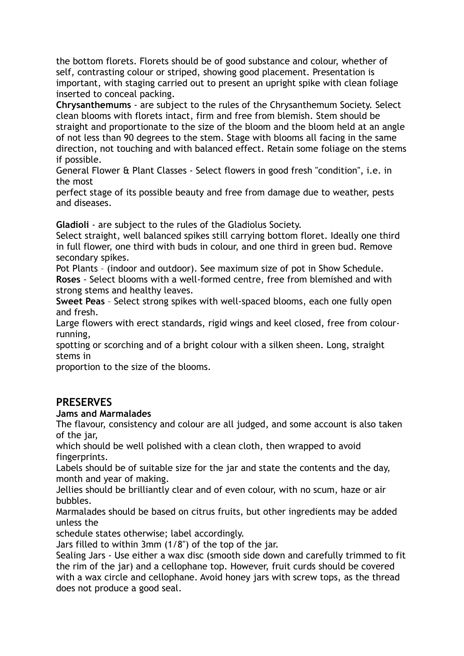the bottom florets. Florets should be of good substance and colour, whether of self, contrasting colour or striped, showing good placement. Presentation is important, with staging carried out to present an upright spike with clean foliage inserted to conceal packing.

**Chrysanthemums** - are subject to the rules of the Chrysanthemum Society. Select clean blooms with florets intact, firm and free from blemish. Stem should be straight and proportionate to the size of the bloom and the bloom held at an angle of not less than 90 degrees to the stem. Stage with blooms all facing in the same direction, not touching and with balanced effect. Retain some foliage on the stems if possible.

General Flower & Plant Classes - Select flowers in good fresh "condition", i.e. in the most

perfect stage of its possible beauty and free from damage due to weather, pests and diseases.

**Gladioli** - are subject to the rules of the Gladiolus Society.

Select straight, well balanced spikes still carrying bottom floret. Ideally one third in full flower, one third with buds in colour, and one third in green bud. Remove secondary spikes.

Pot Plants – (indoor and outdoor). See maximum size of pot in Show Schedule. **Roses** - Select blooms with a well-formed centre, free from blemished and with strong stems and healthy leaves.

**Sweet Peas** – Select strong spikes with well-spaced blooms, each one fully open and fresh.

Large flowers with erect standards, rigid wings and keel closed, free from colourrunning,

spotting or scorching and of a bright colour with a silken sheen. Long, straight stems in

proportion to the size of the blooms.

## **PRESERVES**

#### **Jams and Marmalades**

The flavour, consistency and colour are all judged, and some account is also taken of the jar,

which should be well polished with a clean cloth, then wrapped to avoid fingerprints.

Labels should be of suitable size for the jar and state the contents and the day, month and year of making.

Jellies should be brilliantly clear and of even colour, with no scum, haze or air bubbles.

Marmalades should be based on citrus fruits, but other ingredients may be added unless the

schedule states otherwise; label accordingly.

Jars filled to within 3mm (1/8") of the top of the jar.

Sealing Jars - Use either a wax disc (smooth side down and carefully trimmed to fit the rim of the jar) and a cellophane top. However, fruit curds should be covered with a wax circle and cellophane. Avoid honey jars with screw tops, as the thread does not produce a good seal.